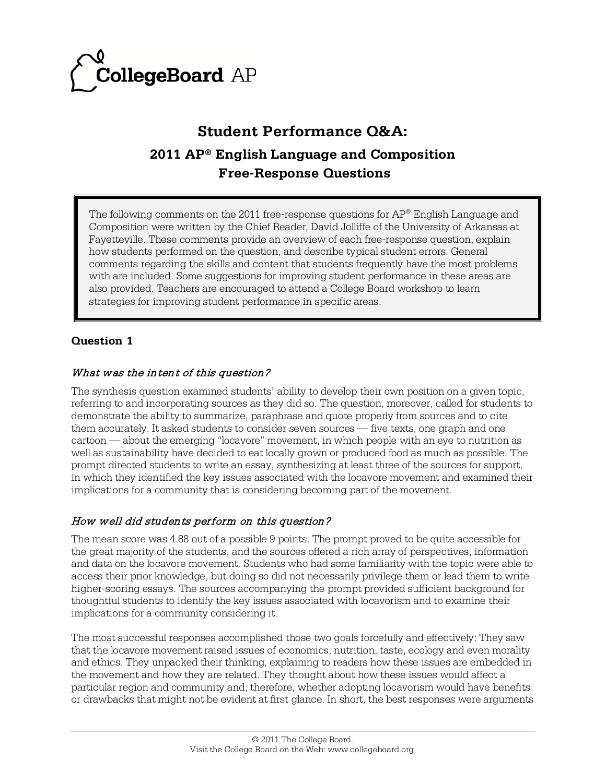

# **Student Performance Q&A: 2011 AP® English Language and Composition Free-Response Questions**

The following comments on the 2011 free-response questions for  $AP^{\circ}$  English Language and Composition were written by the Chief Reader, David Jolliffe of the University of Arkansas at Fayetteville. These comments provide an overview of each free-response question, explain how students performed on the question, and describe typical student errors. General comments regarding the skills and content that students frequently have the most problems with are included. Some suggestions for improving student performance in these areas are also provided. Teachers are encouraged to attend a College Board workshop to learn strategies for improving student performance in specific areas.

# **Question 1**

# What was the intent of this question?

The synthesis question examined students' ability to develop their own position on a given topic, referring to and incorporating sources as they did so. The question, moreover, called for students to demonstrate the ability to summarize, paraphrase and quote properly from sources and to cite them accurately. It asked students to consider seven sources — five texts, one graph and one cartoon — about the emerging "locavore" movement, in which people with an eye to nutrition as well as sustainability have decided to eat locally grown or produced food as much as possible. The prompt directed students to write an essay, synthesizing at least three of the sources for support, in which they identified the key issues associated with the locavore movement and examined their implications for a community that is considering becoming part of the movement.

# How well did students perform on this question?

The mean score was 4.88 out of a possible 9 points. The prompt proved to be quite accessible for the great majority of the students, and the sources offered a rich array of perspectives, information and data on the locavore movement. Students who had some familiarity with the topic were able to access their prior knowledge, but doing so did not necessarily privilege them or lead them to write higher-scoring essays. The sources accompanying the prompt provided sufficient background for thoughtful students to identify the key issues associated with locavorism and to examine their implications for a community considering it.

The most successful responses accomplished those two goals forcefully and effectively: They saw that the locavore movement raised issues of economics, nutrition, taste, ecology and even morality and ethics. They unpacked their thinking, explaining to readers how these issues are embedded in the movement and how they are related. They thought about how these issues would affect a particular region and community and, therefore, whether adopting locavorism would have benefits or drawbacks that might not be evident at first glance. In short, the best responses were arguments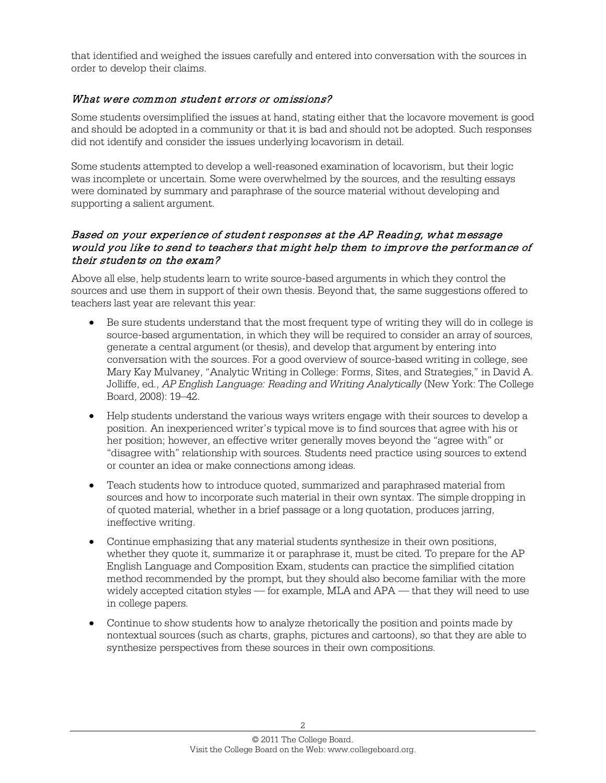that identified and weighed the issues carefully and entered into conversation with the sources in order to develop their claims.

#### What were common student errors or omissions?

Some students oversimplified the issues at hand, stating either that the locavore movement is good and should be adopted in a community or that it is bad and should not be adopted. Such responses did not identify and consider the issues underlying locavorism in detail.

Some students attempted to develop a well-reasoned examination of locavorism, but their logic was incomplete or uncertain. Some were overwhelmed by the sources, and the resulting essays were dominated by summary and paraphrase of the source material without developing and supporting a salient argument.

#### Based on your experience of student responses at the AP Reading, what message would you like to send to teachers that might help them to improve the performance of their students on the exam?

Above all else, help students learn to write source-based arguments in which they control the sources and use them in support of their own thesis. Beyond that, the same suggestions offered to teachers last year are relevant this year:

- Be sure students understand that the most frequent type of writing they will do in college is source-based argumentation, in which they will be required to consider an array of sources, generate a central argument (or thesis), and develop that argument by entering into conversation with the sources. For a good overview of source-based writing in college, see Mary Kay Mulvaney, "Analytic Writing in College: Forms, Sites, and Strategies," in David A. Jolliffe, ed., *AP English Language: Reading and Writing Analytically* (New York: The College Board, 2008): 19–42.
- Help students understand the various ways writers engage with their sources to develop a position. An inexperienced writer's typical move is to find sources that agree with his or her position; however, an effective writer generally moves beyond the "agree with" or "disagree with" relationship with sources. Students need practice using sources to extend or counter an idea or make connections among ideas.
- Teach students how to introduce quoted, summarized and paraphrased material from sources and how to incorporate such material in their own syntax. The simple dropping in of quoted material, whether in a brief passage or a long quotation, produces jarring, ineffective writing.
- Continue emphasizing that any material students synthesize in their own positions, whether they quote it, summarize it or paraphrase it, must be cited. To prepare for the AP English Language and Composition Exam, students can practice the simplified citation method recommended by the prompt, but they should also become familiar with the more widely accepted citation styles — for example, MLA and APA — that they will need to use in college papers.
- Continue to show students how to analyze rhetorically the position and points made by nontextual sources (such as charts, graphs, pictures and cartoons), so that they are able to synthesize perspectives from these sources in their own compositions.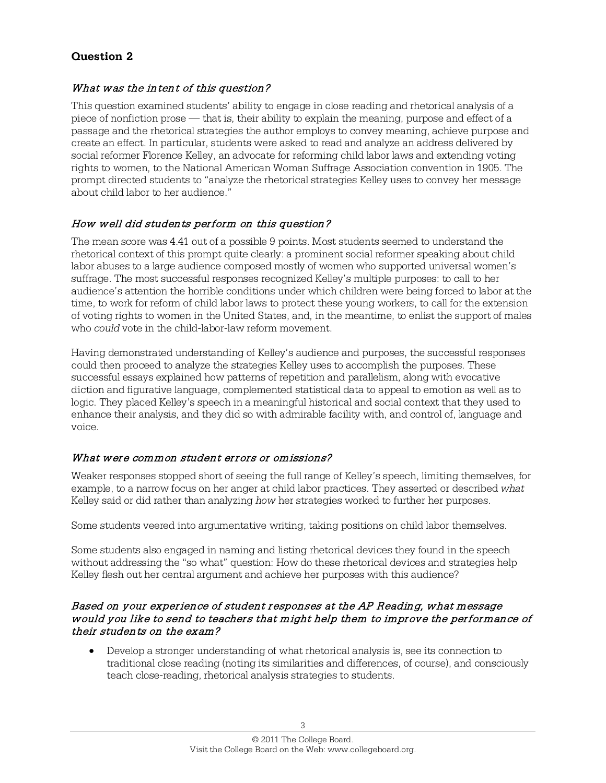# **Question 2**

#### What was the intent of this question?

This question examined students' ability to engage in close reading and rhetorical analysis of a piece of nonfiction prose — that is, their ability to explain the meaning, purpose and effect of a passage and the rhetorical strategies the author employs to convey meaning, achieve purpose and create an effect. In particular, students were asked to read and analyze an address delivered by social reformer Florence Kelley, an advocate for reforming child labor laws and extending voting rights to women, to the National American Woman Suffrage Association convention in 1905. The prompt directed students to "analyze the rhetorical strategies Kelley uses to convey her message about child labor to her audience."

#### How well did students perform on this question?

The mean score was 4.41 out of a possible 9 points. Most students seemed to understand the rhetorical context of this prompt quite clearly: a prominent social reformer speaking about child labor abuses to a large audience composed mostly of women who supported universal women's suffrage. The most successful responses recognized Kelley's multiple purposes: to call to her audience's attention the horrible conditions under which children were being forced to labor at the time, to work for reform of child labor laws to protect these young workers, to call for the extension of voting rights to women in the United States, and, in the meantime, to enlist the support of males who *could* vote in the child-labor-law reform movement.

Having demonstrated understanding of Kelley's audience and purposes, the successful responses could then proceed to analyze the strategies Kelley uses to accomplish the purposes. These successful essays explained how patterns of repetition and parallelism, along with evocative diction and figurative language, complemented statistical data to appeal to emotion as well as to logic. They placed Kelley's speech in a meaningful historical and social context that they used to enhance their analysis, and they did so with admirable facility with, and control of, language and voice.

#### What were common student errors or omissions?

Weaker responses stopped short of seeing the full range of Kelley's speech, limiting themselves, for example, to a narrow focus on her anger at child labor practices. They asserted or described *what* Kelley said or did rather than analyzing *how* her strategies worked to further her purposes.

Some students veered into argumentative writing, taking positions on child labor themselves.

Some students also engaged in naming and listing rhetorical devices they found in the speech without addressing the "so what" question: How do these rhetorical devices and strategies help Kelley flesh out her central argument and achieve her purposes with this audience?

#### Based on your experience of student responses at the AP Reading, what message would you like to send to teachers that might help them to improve the performance of their students on the exam?

• Develop a stronger understanding of what rhetorical analysis is, see its connection to traditional close reading (noting its similarities and differences, of course), and consciously teach close-reading, rhetorical analysis strategies to students.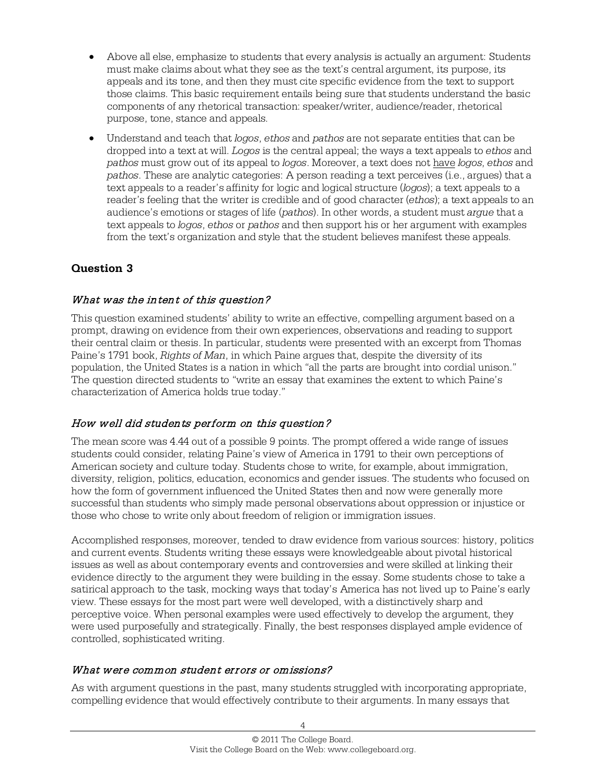- Above all else, emphasize to students that every analysis is actually an argument: Students must make claims about what they see as the text's central argument, its purpose, its appeals and its tone, and then they must cite specific evidence from the text to support those claims. This basic requirement entails being sure that students understand the basic components of any rhetorical transaction: speaker/writer, audience/reader, rhetorical purpose, tone, stance and appeals.
- Understand and teach that *logos*, *ethos* and *pathos* are not separate entities that can be dropped into a text at will. *Logos* is the central appeal; the ways a text appeals to *ethos* and *pathos* must grow out of its appeal to *logos*. Moreover, a text does not have *logos*, *ethos* and *pathos*. These are analytic categories: A person reading a text perceives (i.e., argues) that a text appeals to a reader's affinity for logic and logical structure (*logos*); a text appeals to a reader's feeling that the writer is credible and of good character (*ethos*); a text appeals to an audience's emotions or stages of life (*pathos*). In other words, a student must *argue* that a text appeals to *logos*, *ethos* or *pathos* and then support his or her argument with examples from the text's organization and style that the student believes manifest these appeals.

# **Question 3**

# What was the intent of this question?

This question examined students' ability to write an effective, compelling argument based on a prompt, drawing on evidence from their own experiences, observations and reading to support their central claim or thesis. In particular, students were presented with an excerpt from Thomas Paine's 1791 book, *Rights of Man*, in which Paine argues that, despite the diversity of its population, the United States is a nation in which "all the parts are brought into cordial unison." The question directed students to "write an essay that examines the extent to which Paine's characterization of America holds true today."

# How well did students perform on this question?

The mean score was 4.44 out of a possible 9 points. The prompt offered a wide range of issues students could consider, relating Paine's view of America in 1791 to their own perceptions of American society and culture today. Students chose to write, for example, about immigration, diversity, religion, politics, education, economics and gender issues. The students who focused on how the form of government influenced the United States then and now were generally more successful than students who simply made personal observations about oppression or injustice or those who chose to write only about freedom of religion or immigration issues.

Accomplished responses, moreover, tended to draw evidence from various sources: history, politics and current events. Students writing these essays were knowledgeable about pivotal historical issues as well as about contemporary events and controversies and were skilled at linking their evidence directly to the argument they were building in the essay. Some students chose to take a satirical approach to the task, mocking ways that today's America has not lived up to Paine's early view. These essays for the most part were well developed, with a distinctively sharp and perceptive voice. When personal examples were used effectively to develop the argument, they were used purposefully and strategically. Finally, the best responses displayed ample evidence of controlled, sophisticated writing.

# What were common student errors or omissions?

As with argument questions in the past, many students struggled with incorporating appropriate, compelling evidence that would effectively contribute to their arguments. In many essays that